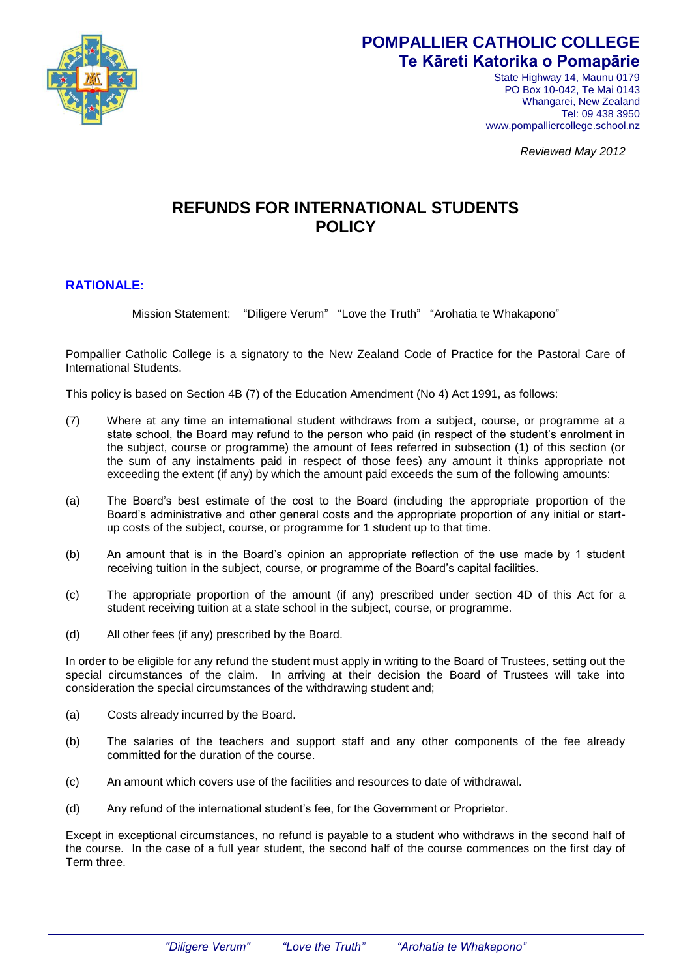

## **POMPALLIER CATHOLIC COLLEGE Te Kāreti Katorika o Pomapārie**

State Highway 14, Maunu 0179 PO Box 10-042, Te Mai 0143 Whangarei, New Zealand Tel: 09 438 3950 www.pompalliercollege.school.nz

*Reviewed May 2012*

## **REFUNDS FOR INTERNATIONAL STUDENTS POLICY**

## **RATIONALE:**

Mission Statement: "Diligere Verum" "Love the Truth" "Arohatia te Whakapono"

Pompallier Catholic College is a signatory to the New Zealand Code of Practice for the Pastoral Care of International Students.

This policy is based on Section 4B (7) of the Education Amendment (No 4) Act 1991, as follows:

- (7) Where at any time an international student withdraws from a subject, course, or programme at a state school, the Board may refund to the person who paid (in respect of the student's enrolment in the subject, course or programme) the amount of fees referred in subsection (1) of this section (or the sum of any instalments paid in respect of those fees) any amount it thinks appropriate not exceeding the extent (if any) by which the amount paid exceeds the sum of the following amounts:
- (a) The Board's best estimate of the cost to the Board (including the appropriate proportion of the Board's administrative and other general costs and the appropriate proportion of any initial or startup costs of the subject, course, or programme for 1 student up to that time.
- (b) An amount that is in the Board's opinion an appropriate reflection of the use made by 1 student receiving tuition in the subject, course, or programme of the Board's capital facilities.
- (c) The appropriate proportion of the amount (if any) prescribed under section 4D of this Act for a student receiving tuition at a state school in the subject, course, or programme.
- (d) All other fees (if any) prescribed by the Board.

In order to be eligible for any refund the student must apply in writing to the Board of Trustees, setting out the special circumstances of the claim. In arriving at their decision the Board of Trustees will take into consideration the special circumstances of the withdrawing student and;

- (a) Costs already incurred by the Board.
- (b) The salaries of the teachers and support staff and any other components of the fee already committed for the duration of the course.
- (c) An amount which covers use of the facilities and resources to date of withdrawal.
- (d) Any refund of the international student's fee, for the Government or Proprietor.

Except in exceptional circumstances, no refund is payable to a student who withdraws in the second half of the course. In the case of a full year student, the second half of the course commences on the first day of Term three.